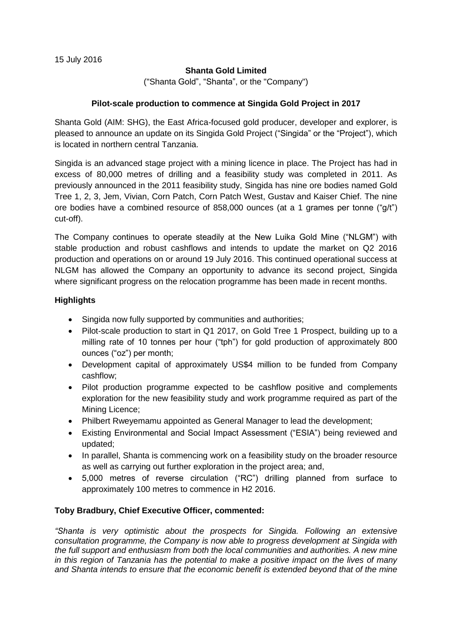### **Shanta Gold Limited**

("Shanta Gold", "Shanta", or the "Company")

### **Pilot-scale production to commence at Singida Gold Project in 2017**

Shanta Gold (AIM: SHG), the East Africa-focused gold producer, developer and explorer, is pleased to announce an update on its Singida Gold Project ("Singida" or the "Project"), which is located in northern central Tanzania.

Singida is an advanced stage project with a mining licence in place. The Project has had in excess of 80,000 metres of drilling and a feasibility study was completed in 2011. As previously announced in the 2011 feasibility study, Singida has nine ore bodies named Gold Tree 1, 2, 3, Jem, Vivian, Corn Patch, Corn Patch West, Gustav and Kaiser Chief. The nine ore bodies have a combined resource of 858,000 ounces (at a 1 grames per tonne (" $q/t$ ") cut-off).

The Company continues to operate steadily at the New Luika Gold Mine ("NLGM") with stable production and robust cashflows and intends to update the market on Q2 2016 production and operations on or around 19 July 2016. This continued operational success at NLGM has allowed the Company an opportunity to advance its second project, Singida where significant progress on the relocation programme has been made in recent months.

### **Highlights**

- Singida now fully supported by communities and authorities;
- Pilot-scale production to start in Q1 2017, on Gold Tree 1 Prospect, building up to a milling rate of 10 tonnes per hour ("tph") for gold production of approximately 800 ounces ("oz") per month;
- Development capital of approximately US\$4 million to be funded from Company cashflow;
- Pilot production programme expected to be cashflow positive and complements exploration for the new feasibility study and work programme required as part of the Mining Licence;
- Philbert Rweyemamu appointed as General Manager to lead the development;
- Existing Environmental and Social Impact Assessment ("ESIA") being reviewed and updated;
- In parallel, Shanta is commencing work on a feasibility study on the broader resource as well as carrying out further exploration in the project area; and,
- 5,000 metres of reverse circulation ("RC") drilling planned from surface to approximately 100 metres to commence in H2 2016.

### **Toby Bradbury, Chief Executive Officer, commented:**

*"Shanta is very optimistic about the prospects for Singida. Following an extensive consultation programme, the Company is now able to progress development at Singida with the full support and enthusiasm from both the local communities and authorities. A new mine in this region of Tanzania has the potential to make a positive impact on the lives of many and Shanta intends to ensure that the economic benefit is extended beyond that of the mine*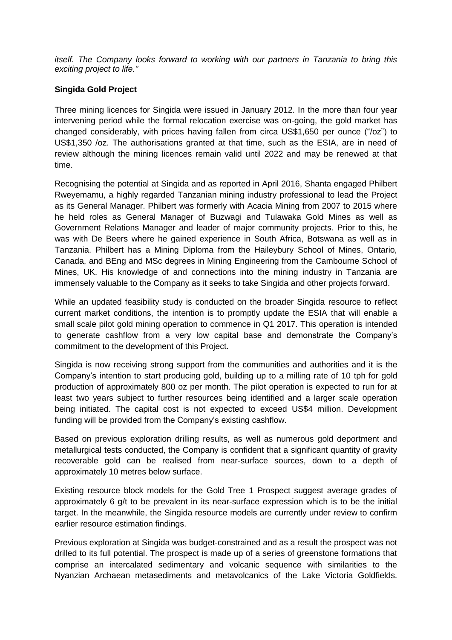*itself. The Company looks forward to working with our partners in Tanzania to bring this exciting project to life."*

# **Singida Gold Project**

Three mining licences for Singida were issued in January 2012. In the more than four year intervening period while the formal relocation exercise was on-going, the gold market has changed considerably, with prices having fallen from circa US\$1,650 per ounce ("/oz") to US\$1,350 /oz. The authorisations granted at that time, such as the ESIA, are in need of review although the mining licences remain valid until 2022 and may be renewed at that time.

Recognising the potential at Singida and as reported in April 2016, Shanta engaged Philbert Rweyemamu, a highly regarded Tanzanian mining industry professional to lead the Project as its General Manager. Philbert was formerly with Acacia Mining from 2007 to 2015 where he held roles as General Manager of Buzwagi and Tulawaka Gold Mines as well as Government Relations Manager and leader of major community projects. Prior to this, he was with De Beers where he gained experience in South Africa, Botswana as well as in Tanzania. Philbert has a Mining Diploma from the Haileybury School of Mines, Ontario, Canada, and BEng and MSc degrees in Mining Engineering from the Cambourne School of Mines, UK. His knowledge of and connections into the mining industry in Tanzania are immensely valuable to the Company as it seeks to take Singida and other projects forward.

While an updated feasibility study is conducted on the broader Singida resource to reflect current market conditions, the intention is to promptly update the ESIA that will enable a small scale pilot gold mining operation to commence in Q1 2017. This operation is intended to generate cashflow from a very low capital base and demonstrate the Company's commitment to the development of this Project.

Singida is now receiving strong support from the communities and authorities and it is the Company's intention to start producing gold, building up to a milling rate of 10 tph for gold production of approximately 800 oz per month. The pilot operation is expected to run for at least two years subject to further resources being identified and a larger scale operation being initiated. The capital cost is not expected to exceed US\$4 million. Development funding will be provided from the Company's existing cashflow.

Based on previous exploration drilling results, as well as numerous gold deportment and metallurgical tests conducted, the Company is confident that a significant quantity of gravity recoverable gold can be realised from near-surface sources, down to a depth of approximately 10 metres below surface.

Existing resource block models for the Gold Tree 1 Prospect suggest average grades of approximately 6 g/t to be prevalent in its near-surface expression which is to be the initial target. In the meanwhile, the Singida resource models are currently under review to confirm earlier resource estimation findings.

Previous exploration at Singida was budget-constrained and as a result the prospect was not drilled to its full potential. The prospect is made up of a series of greenstone formations that comprise an intercalated sedimentary and volcanic sequence with similarities to the Nyanzian Archaean metasediments and metavolcanics of the Lake Victoria Goldfields.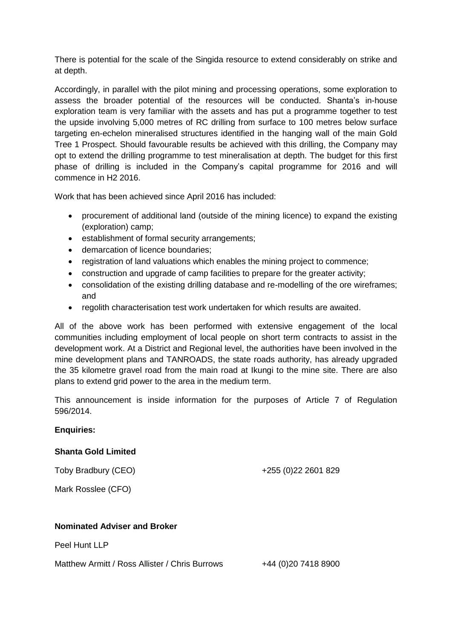There is potential for the scale of the Singida resource to extend considerably on strike and at depth.

Accordingly, in parallel with the pilot mining and processing operations, some exploration to assess the broader potential of the resources will be conducted. Shanta's in-house exploration team is very familiar with the assets and has put a programme together to test the upside involving 5,000 metres of RC drilling from surface to 100 metres below surface targeting en-echelon mineralised structures identified in the hanging wall of the main Gold Tree 1 Prospect. Should favourable results be achieved with this drilling, the Company may opt to extend the drilling programme to test mineralisation at depth. The budget for this first phase of drilling is included in the Company's capital programme for 2016 and will commence in H2 2016.

Work that has been achieved since April 2016 has included:

- procurement of additional land (outside of the mining licence) to expand the existing (exploration) camp;
- establishment of formal security arrangements;
- demarcation of licence boundaries;
- registration of land valuations which enables the mining project to commence;
- construction and upgrade of camp facilities to prepare for the greater activity;
- consolidation of the existing drilling database and re-modelling of the ore wireframes; and
- regolith characterisation test work undertaken for which results are awaited.

All of the above work has been performed with extensive engagement of the local communities including employment of local people on short term contracts to assist in the development work. At a District and Regional level, the authorities have been involved in the mine development plans and TANROADS, the state roads authority, has already upgraded the 35 kilometre gravel road from the main road at Ikungi to the mine site. There are also plans to extend grid power to the area in the medium term.

This announcement is inside information for the purposes of Article 7 of Regulation 596/2014.

### **Enquiries:**

### **Shanta Gold Limited**

Toby Bradbury (CEO)

+255 (0)22 2601 829

Mark Rosslee (CFO)

### **Nominated Adviser and Broker**

Peel Hunt LLP

Matthew Armitt / Ross Allister / Chris Burrows +44 (0)20 7418 8900